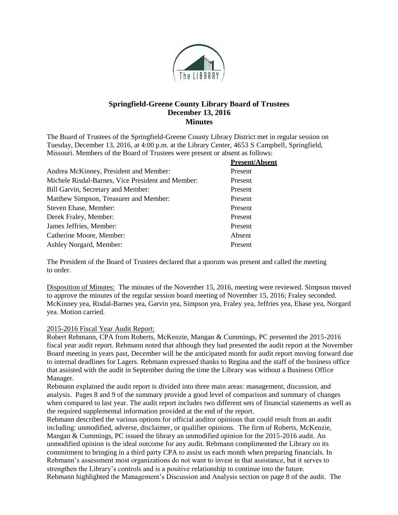

# **Springfield-Greene County Library Board of Trustees December 13, 2016 Minutes**

The Board of Trustees of the Springfield-Greene County Library District met in regular session on Tuesday, December 13, 2016, at 4:00 p.m. at the Library Center, 4653 S Campbell, Springfield, Missouri. Members of the Board of Trustees were present or absent as follows:

|                                                   | <b>Present/Absent</b> |
|---------------------------------------------------|-----------------------|
| Andrea McKinney, President and Member:            | Present               |
| Michele Risdal-Barnes, Vice President and Member: | Present               |
| Bill Garvin, Secretary and Member:                | Present               |
| Matthew Simpson, Treasurer and Member:            | Present               |
| Steven Ehase, Member:                             | Present               |
| Derek Fraley, Member:                             | Present               |
| James Jeffries, Member:                           | Present               |
| Catherine Moore, Member:                          | Absent                |
| Ashley Norgard, Member:                           | Present               |

The President of the Board of Trustees declared that a quorum was present and called the meeting to order.

Disposition of Minutes: The minutes of the November 15, 2016, meeting were reviewed. Simpson moved to approve the minutes of the regular session board meeting of November 15, 2016; Fraley seconded. McKinney yea, Risdal-Barnes yea, Garvin yea, Simpson yea, Fraley yea, Jeffries yea, Ehase yea, Norgard yea. Motion carried.

#### 2015-2016 Fiscal Year Audit Report:

Robert Rebmann, CPA from Roberts, McKenzie, Mangan & Cummings, PC presented the 2015-2016 fiscal year audit report. Rebmann noted that although they had presented the audit report at the November Board meeting in years past, December will be the anticipated month for audit report moving forward due to internal deadlines for Lagers. Rebmann expressed thanks to Regina and the staff of the business office that assisted with the audit in September during the time the Library was without a Business Office Manager.

Rebmann explained the audit report is divided into three main areas: management, discussion, and analysis. Pages 8 and 9 of the summary provide a good level of comparison and summary of changes when compared to last year. The audit report includes two different sets of financial statements as well as the required supplemental information provided at the end of the report.

Rebmann described the various options for official auditor opinions that could result from an audit including: unmodified, adverse, disclaimer, or qualifier opinions. The firm of Roberts, McKenzie, Mangan & Cummings, PC issued the library an unmodified opinion for the 2015-2016 audit. An unmodified opinion is the ideal outcome for any audit. Rebmann complimented the Library on its commitment to bringing in a third party CPA to assist us each month when preparing financials. In Rebmann's assessment most organizations do not want to invest in that assistance, but it serves to strengthen the Library's controls and is a positive relationship to continue into the future. Rebmann highlighted the Management's Discussion and Analysis section on page 8 of the audit. The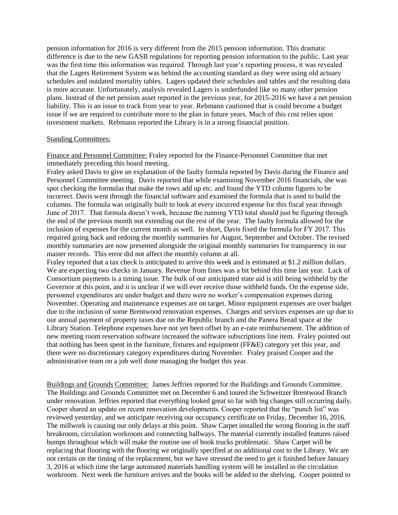pension information for 2016 is very different from the 2015 pension information. This dramatic difference is due to the new GASB regulations for reporting pension information to the public. Last year was the first time this information was required. Through last year's reporting process, it was revealed that the Lagers Retirement System was behind the accounting standard as they were using old actuary schedules and outdated mortality tables. Lagers updated their schedules and tables and the resulting data is more accurate. Unfortunately, analysis revealed Lagers is underfunded like so many other pension plans. Instead of the net pension asset reported in the previous year, for 2015-2016 we have a net pension liability. This is an issue to track from year to year. Rebmann cautioned that is could become a budget issue if we are required to contribute more to the plan in future years. Much of this cost relies upon investment markets. Rebmann reported the Library is in a strong financial position.

#### Standing Committees:

Finance and Personnel Committee: Fraley reported for the Finance-Personnel Committee that met immediately preceding this board meeting.

Fraley asked Davis to give an explanation of the faulty formula reported by Davis during the Finance and Personnel Committee meeting. Davis reported that while examining November 2016 financials, she was spot checking the formulas that make the rows add up etc. and found the YTD column figures to be incorrect. Davis went through the financial software and examined the formula that is used to build the columns. The formula was originally built to look at every incurred expense for this fiscal year through June of 2017. That formula doesn't work, because the running YTD total should just be figuring through the end of the previous month not extending out the rest of the year. The faulty formula allowed for the inclusion of expenses for the current month as well. In short, Davis fixed the formula for FY 2017. This required going back and redoing the monthly summaries for August, September and October. The revised monthly summaries are now presented alongside the original monthly summaries for transparency in our master records. This error did not affect the monthly column at all.

Fraley reported that a tax check is anticipated to arrive this week and is estimated at \$1.2 million dollars. We are expecting two checks in January. Revenue from fines was a bit behind this time last year. Lack of Consortium payments is a timing issue. The bulk of our anticipated state aid is still being withheld by the Governor at this point, and it is unclear if we will ever receive those withheld funds. On the expense side, personnel expenditures are under budget and there were no worker's compensation expenses during November. Operating and maintenance expenses are on target. Minor equipment expenses are over budget due to the inclusion of some Brentwood renovation expenses. Charges and services expenses are up due to our annual payment of property taxes due on the Republic branch and the Panera Bread space at the Library Station. Telephone expenses have not yet been offset by an e-rate reimbursement. The addition of new meeting room reservation software increased the software subscriptions line item. Fraley pointed out that nothing has been spent in the furniture, fixtures and equipment (FF&E) category yet this year, and there were no discretionary category expenditures during November. Fraley praised Cooper and the administrative team on a job well done managing the budget this year.

Buildings and Grounds Committee: James Jeffries reported for the Buildings and Grounds Committee. The Buildings and Grounds Committee met on December 6 and toured the Schweitzer Brentwood Branch under renovation. Jeffries reported that everything looked great so far with big changes still occurring daily. Cooper shared an update on recent renovation developments. Cooper reported that the "punch list" was reviewed yesterday, and we anticipate receiving our occupancy certificate on Friday, December 16, 2016. The millwork is causing our only delays at this point. Shaw Carpet installed the wrong flooring in the staff breakroom, circulation workroom and connecting hallways. The material currently installed features raised bumps throughout which will make the routine use of book trucks problematic. Shaw Carpet will be replacing that flooring with the flooring we originally specified at no additional cost to the Library. We are not certain on the timing of the replacement, but we have stressed the need to get it finished before January 3, 2016 at which time the large automated materials handling system will be installed in the circulation workroom. Next week the furniture arrives and the books will be added to the shelving. Cooper pointed to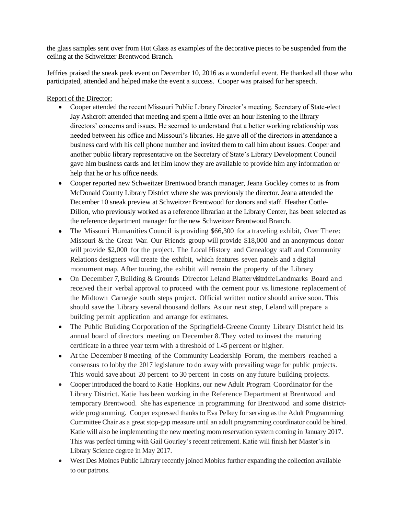the glass samples sent over from Hot Glass as examples of the decorative pieces to be suspended from the ceiling at the Schweitzer Brentwood Branch.

Jeffries praised the sneak peek event on December 10, 2016 as a wonderful event. He thanked all those who participated, attended and helped make the event a success. Cooper was praised for her speech.

## Report of the Director:

- Cooper attended the recent Missouri Public Library Director's meeting. Secretary of State-elect Jay Ashcroft attended that meeting and spent a little over an hour listening to the library directors' concerns and issues. He seemed to understand that a better working relationship was needed between his office and Missouri's libraries. He gave all of the directors in attendance a business card with his cell phone number and invited them to call him about issues. Cooper and another public library representative on the Secretary of State's Library Development Council gave him business cards and let him know they are available to provide him any information or help that he or his office needs.
- Cooper reported new Schweitzer Brentwood branch manager, Jeana Gockley comes to us from McDonald County Library District where she was previously the director. Jeana attended the December 10 sneak preview at Schweitzer Brentwood for donors and staff. Heather Cottle-Dillon, who previously worked as a reference librarian at the Library Center, has been selected as the reference department manager for the new Schweitzer Brentwood Branch.
- The Missouri Humanities Council is providing \$66,300 for a traveling exhibit, Over There: Missouri & the Great War. Our Friends group will provide \$18,000 and an anonymous donor will provide \$2,000 for the project. The Local History and Genealogy staff and Community Relations designers will create the exhibit, which features seven panels and a digital monument map. After touring, the exhibit will remain the property of the Library.
- On December 7, Building & Grounds Director Leland Blatter visited the Landmarks Board and received their verbal approval to proceed with the cement pour vs. limestone replacement of the Midtown Carnegie south steps project. Official written notice should arrive soon. This should save the Library several thousand dollars. As our next step, Leland will prepare a building permit application and arrange for estimates.
- The Public Building Corporation of the Springfield-Greene County Library District held its annual board of directors meeting on December 8. They voted to invest the maturing certificate in a three year term with a threshold of 1.45 percent or higher.
- At the December 8 meeting of the Community Leadership Forum, the members reached a consensus to lobby the 2017 legislature to do awaywith prevailing wage for public projects. This would save about 20 percent to 30 percent in costs on any future building projects.
- Cooper introduced the board to Katie Hopkins, our new Adult Program Coordinator for the Library District. Katie has been working in the Reference Department at Brentwood and temporary Brentwood. She has experience in programming for Brentwood and some districtwide programming. Cooper expressed thanks to Eva Pelkey for serving as the Adult Programming Committee Chair as a great stop-gap measure until an adult programming coordinator could be hired. Katie will also be implementing the new meeting room reservation system coming in January 2017. This was perfect timing with Gail Gourley's recent retirement. Katie will finish her Master's in Library Science degree in May 2017.
- West Des Moines Public Library recently joined Mobius further expanding the collection available to our patrons.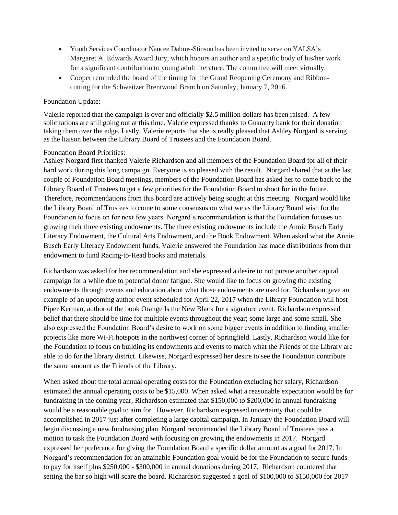- Youth Services Coordinator Nancee Dahms-Stinson has been invited to serve on YALSA's Margaret A. Edwards Award Jury, which honors an author and a specific body of his/her work for a significant contribution to young adult literature. The committee will meet virtually.
- Cooper reminded the board of the timing for the Grand Reopening Ceremony and Ribboncutting for the Schweitzer Brentwood Branch on Saturday, January 7, 2016.

#### Foundation Update:

Valerie reported that the campaign is over and officially \$2.5 million dollars has been raised. A few solicitations are still going out at this time. Valerie expressed thanks to Guaranty bank for their donation taking them over the edge. Lastly, Valerie reports that she is really pleased that Ashley Norgard is serving as the liaison between the Library Board of Trustees and the Foundation Board.

### Foundation Board Priorities:

Ashley Norgard first thanked Valerie Richardson and all members of the Foundation Board for all of their hard work during this long campaign. Everyone is so pleased with the result. Norgard shared that at the last couple of Foundation Board meetings, members of the Foundation Board has asked her to come back to the Library Board of Trustees to get a few priorities for the Foundation Board to shoot for in the future. Therefore, recommendations from this board are actively being sought at this meeting. Norgard would like the Library Board of Trustees to come to some consensus on what we as the Library Board wish for the Foundation to focus on for next few years. Norgard's recommendation is that the Foundation focuses on growing their three existing endowments. The three existing endowments include the Annie Busch Early Literacy Endowment, the Cultural Arts Endowment, and the Book Endowment. When asked what the Annie Busch Early Literacy Endowment funds, Valerie answered the Foundation has made distributions from that endowment to fund Racing-to-Read books and materials.

Richardson was asked for her recommendation and she expressed a desire to not pursue another capital campaign for a while due to potential donor fatigue. She would like to focus on growing the existing endowments through events and education about what those endowments are used for. Richardson gave an example of an upcoming author event scheduled for April 22, 2017 when the Library Foundation will host Piper Kerman, author of the book Orange Is the New Black for a signature event. Richardson expressed belief that there should be time for multiple events throughout the year; some large and some small. She also expressed the Foundation Board's desire to work on some bigger events in addition to funding smaller projects like more Wi-Fi hotspots in the northwest corner of Springfield. Lastly, Richardson would like for the Foundation to focus on building its endowments and events to match what the Friends of the Library are able to do for the library district. Likewise, Norgard expressed her desire to see the Foundation contribute the same amount as the Friends of the Library.

When asked about the total annual operating costs for the Foundation excluding her salary, Richardson estimated the annual operating costs to be \$15,000. When asked what a reasonable expectation would be for fundraising in the coming year, Richardson estimated that \$150,000 to \$200,000 in annual fundraising would be a reasonable goal to aim for. However, Richardson expressed uncertainty that could be accomplished in 2017 just after completing a large capital campaign. In January the Foundation Board will begin discussing a new fundraising plan. Norgard recommended the Library Board of Trustees pass a motion to task the Foundation Board with focusing on growing the endowments in 2017. Norgard expressed her preference for giving the Foundation Board a specific dollar amount as a goal for 2017. In Norgard's recommendation for an attainable Foundation goal would be for the Foundation to secure funds to pay for itself plus \$250,000 - \$300,000 in annual donations during 2017. Richardson countered that setting the bar so high will scare the board. Richardson suggested a goal of \$100,000 to \$150,000 for 2017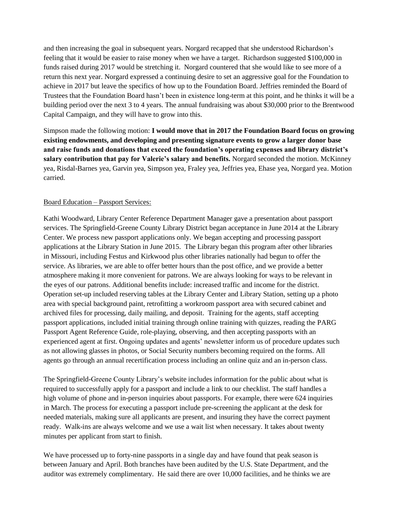and then increasing the goal in subsequent years. Norgard recapped that she understood Richardson's feeling that it would be easier to raise money when we have a target. Richardson suggested \$100,000 in funds raised during 2017 would be stretching it. Norgard countered that she would like to see more of a return this next year. Norgard expressed a continuing desire to set an aggressive goal for the Foundation to achieve in 2017 but leave the specifics of how up to the Foundation Board. Jeffries reminded the Board of Trustees that the Foundation Board hasn't been in existence long-term at this point, and he thinks it will be a building period over the next 3 to 4 years. The annual fundraising was about \$30,000 prior to the Brentwood Capital Campaign, and they will have to grow into this.

Simpson made the following motion: **I would move that in 2017 the Foundation Board focus on growing existing endowments, and developing and presenting signature events to grow a larger donor base and raise funds and donations that exceed the foundation's operating expenses and library district's salary contribution that pay for Valerie's salary and benefits.** Norgard seconded the motion. McKinney yea, Risdal-Barnes yea, Garvin yea, Simpson yea, Fraley yea, Jeffries yea, Ehase yea, Norgard yea. Motion carried.

# Board Education – Passport Services:

Kathi Woodward, Library Center Reference Department Manager gave a presentation about passport services. The Springfield-Greene County Library District began acceptance in June 2014 at the Library Center. We process new passport applications only. We began accepting and processing passport applications at the Library Station in June 2015. The Library began this program after other libraries in Missouri, including Festus and Kirkwood plus other libraries nationally had begun to offer the service. As libraries, we are able to offer better hours than the post office, and we provide a better atmosphere making it more convenient for patrons. We are always looking for ways to be relevant in the eyes of our patrons. Additional benefits include: increased traffic and income for the district. Operation set-up included reserving tables at the Library Center and Library Station, setting up a photo area with special background paint, retrofitting a workroom passport area with secured cabinet and archived files for processing, daily mailing, and deposit. Training for the agents, staff accepting passport applications, included initial training through online training with quizzes, reading the PARG Passport Agent Reference Guide, role-playing, observing, and then accepting passports with an experienced agent at first. Ongoing updates and agents' newsletter inform us of procedure updates such as not allowing glasses in photos, or Social Security numbers becoming required on the forms. All agents go through an annual recertification process including an online quiz and an in-person class.

The Springfield-Greene County Library's website includes information for the public about what is required to successfully apply for a passport and include a link to our checklist. The staff handles a high volume of phone and in-person inquiries about passports. For example, there were 624 inquiries in March. The process for executing a passport include pre-screening the applicant at the desk for needed materials, making sure all applicants are present, and insuring they have the correct payment ready. Walk-ins are always welcome and we use a wait list when necessary. It takes about twenty minutes per applicant from start to finish.

We have processed up to forty-nine passports in a single day and have found that peak season is between January and April. Both branches have been audited by the U.S. State Department, and the auditor was extremely complimentary. He said there are over 10,000 facilities, and he thinks we are